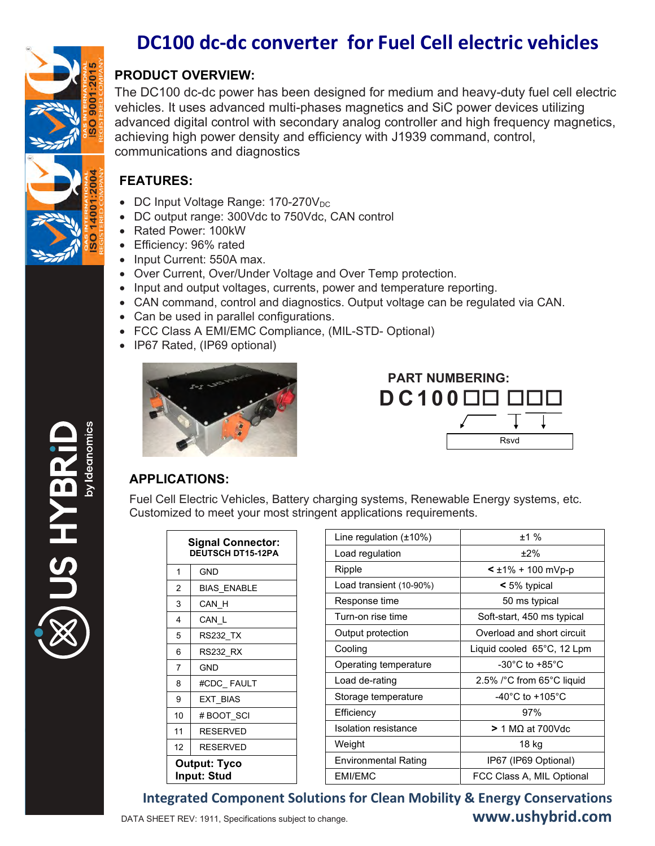

## DC100 dc-dc converter for Fuel Cell electric vehicles

## **PRODUCT OVERVIEW:**

The DC100 dc-dc power has been designed for medium and heavy-duty fuel cell electric vehicles. It uses advanced multi-phases magnetics and SiC power devices utilizing advanced digital control with secondary analog controller and high frequency magnetics, achieving high power density and efficiency with J1939 command, control, communications and diagnostics

## **FEATURES:**

- DC Input Voltage Range: 170-270V<sub>DC</sub>
- DC output range: 300Vdc to 750Vdc, CAN control
- Rated Power: 100kW
- Efficiency: 96% rated
- Input Current: 550A max.
- Over Current, Over/Under Voltage and Over Temp protection.
- Input and output voltages, currents, power and temperature reporting.
- CAN command, control and diagnostics. Output voltage can be regulated via CAN.
- Can be used in parallel configurations.
- FCC Class A EMI/EMC Compliance, (MIL-STD- Optional)
- IP67 Rated, (IP69 optional)



| <b>PART NUMBERING:</b> |  |      |  |
|------------------------|--|------|--|
|                        |  |      |  |
|                        |  |      |  |
|                        |  | Rsvd |  |

## **APPLICATIONS:**

Fuel Cell Electric Vehicles, Battery charging systems, Renewable Energy systems, etc. Customized to meet your most stringent applications requirements.

| <b>Signal Connector:</b><br><b>DEUTSCH DT15-12PA</b> |                    |  |
|------------------------------------------------------|--------------------|--|
| 1                                                    | GND                |  |
| $\overline{2}$                                       | <b>BIAS ENABLE</b> |  |
| 3                                                    | CAN H              |  |
| 4                                                    | CAN L              |  |
| 5                                                    | RS232 TX           |  |
| 6                                                    | RS232 RX           |  |
| $\overline{7}$                                       | GND                |  |
| 8                                                    | #CDC FAULT         |  |
| 9                                                    | EXT BIAS           |  |
| 10                                                   | # BOOT SCI         |  |
| 11                                                   | RESERVED           |  |
| 12                                                   | <b>RESERVED</b>    |  |
| <b>Output: Tyco</b><br><b>Input: Stud</b>            |                    |  |

| Line regulation $(\pm 10\%)$ | ±1%                                   |  |
|------------------------------|---------------------------------------|--|
| Load regulation              | ±2%                                   |  |
| Ripple                       | $\leq \pm 1\% + 100$ mVp-p            |  |
| Load transient (10-90%)      | $\leq 5\%$ typical                    |  |
| Response time                | 50 ms typical                         |  |
| Turn-on rise time            | Soft-start, 450 ms typical            |  |
| Output protection            | Overload and short circuit            |  |
| Cooling                      | Liquid cooled 65°C, 12 Lpm            |  |
| Operating temperature        | $-30^{\circ}$ C to $+85^{\circ}$ C    |  |
| Load de-rating               | 2.5% /°C from 65°C liquid             |  |
| Storage temperature          | -40 $^{\circ}$ C to +105 $^{\circ}$ C |  |
| Efficiency                   | 97%                                   |  |
| <b>Isolation resistance</b>  | $> 1$ M $\Omega$ at 700Vdc            |  |
| Weight                       | 18 kg                                 |  |
| <b>Environmental Rating</b>  | IP67 (IP69 Optional)                  |  |
| EMI/EMC                      | FCC Class A. MIL Optional             |  |

**Integrated Component Solutions for Clean Mobility & Energy Conservations** www.ushybrid.com DATA SHEET REV: 1911, Specifications subject to change.

EXHSI